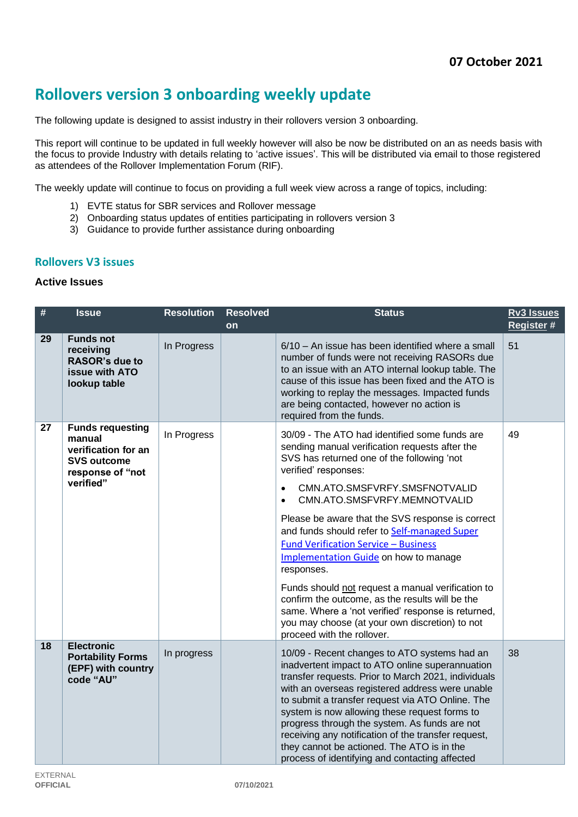# **Rollovers version 3 onboarding weekly update**

The following update is designed to assist industry in their rollovers version 3 onboarding.

This report will continue to be updated in full weekly however will also be now be distributed on an as needs basis with the focus to provide Industry with details relating to 'active issues'. This will be distributed via email to those registered as attendees of the Rollover Implementation Forum (RIF).

The weekly update will continue to focus on providing a full week view across a range of topics, including:

- 1) EVTE status for SBR services and Rollover message
- 2) Onboarding status updates of entities participating in rollovers version 3
- 3) Guidance to provide further assistance during onboarding

#### **Rollovers V3 issues**

#### **Active Issues**

| #  | <b>Issue</b>                                                                                                    | <b>Resolution</b> | <b>Resolved</b><br>on | <b>Status</b>                                                                                                                                                                                                                                                                                                                                                                                                                                                                                                                                                                                                                                                                                                            | <b>Rv3 Issues</b><br>Register # |
|----|-----------------------------------------------------------------------------------------------------------------|-------------------|-----------------------|--------------------------------------------------------------------------------------------------------------------------------------------------------------------------------------------------------------------------------------------------------------------------------------------------------------------------------------------------------------------------------------------------------------------------------------------------------------------------------------------------------------------------------------------------------------------------------------------------------------------------------------------------------------------------------------------------------------------------|---------------------------------|
| 29 | <b>Funds not</b><br>receiving<br><b>RASOR's due to</b><br>issue with ATO<br>lookup table                        | In Progress       |                       | $6/10$ – An issue has been identified where a small<br>number of funds were not receiving RASORs due<br>to an issue with an ATO internal lookup table. The<br>cause of this issue has been fixed and the ATO is<br>working to replay the messages. Impacted funds<br>are being contacted, however no action is<br>required from the funds.                                                                                                                                                                                                                                                                                                                                                                               | 51                              |
| 27 | <b>Funds requesting</b><br>manual<br>verification for an<br><b>SVS outcome</b><br>response of "not<br>verified" | In Progress       |                       | 30/09 - The ATO had identified some funds are<br>sending manual verification requests after the<br>SVS has returned one of the following 'not<br>verified' responses:<br>CMN.ATO.SMSFVRFY.SMSFNOTVALID<br>$\bullet$<br>CMN.ATO.SMSFVRFY.MEMNOTVALID<br>$\bullet$<br>Please be aware that the SVS response is correct<br>and funds should refer to Self-managed Super<br><b>Fund Verification Service - Business</b><br>Implementation Guide on how to manage<br>responses.<br>Funds should not request a manual verification to<br>confirm the outcome, as the results will be the<br>same. Where a 'not verified' response is returned,<br>you may choose (at your own discretion) to not<br>proceed with the rollover. | 49                              |
| 18 | <b>Electronic</b><br><b>Portability Forms</b><br>(EPF) with country<br>code "AU"                                | In progress       |                       | 10/09 - Recent changes to ATO systems had an<br>inadvertent impact to ATO online superannuation<br>transfer requests. Prior to March 2021, individuals<br>with an overseas registered address were unable<br>to submit a transfer request via ATO Online. The<br>system is now allowing these request forms to<br>progress through the system. As funds are not<br>receiving any notification of the transfer request,<br>they cannot be actioned. The ATO is in the<br>process of identifying and contacting affected                                                                                                                                                                                                   | 38                              |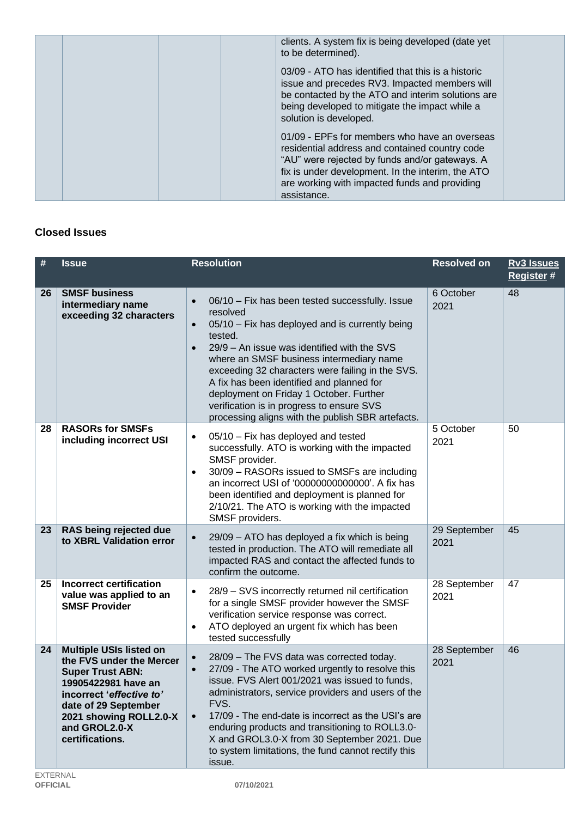| clients. A system fix is being developed (date yet<br>to be determined).                                                                                                                                                                                               |  |
|------------------------------------------------------------------------------------------------------------------------------------------------------------------------------------------------------------------------------------------------------------------------|--|
| 03/09 - ATO has identified that this is a historic<br>issue and precedes RV3. Impacted members will<br>be contacted by the ATO and interim solutions are<br>being developed to mitigate the impact while a<br>solution is developed.                                   |  |
| 01/09 - EPFs for members who have an overseas<br>residential address and contained country code<br>"AU" were rejected by funds and/or gateways. A<br>fix is under development. In the interim, the ATO<br>are working with impacted funds and providing<br>assistance. |  |

## **Closed Issues**

| #  | <b>Issue</b>                                                                                                                                                                                                                   | <b>Resolution</b>                                                                                                                                                                                                                                                                                                                                                                                                                                                                                         | <b>Resolved on</b>   | <b>Rv3 Issues</b><br><b>Register#</b> |
|----|--------------------------------------------------------------------------------------------------------------------------------------------------------------------------------------------------------------------------------|-----------------------------------------------------------------------------------------------------------------------------------------------------------------------------------------------------------------------------------------------------------------------------------------------------------------------------------------------------------------------------------------------------------------------------------------------------------------------------------------------------------|----------------------|---------------------------------------|
| 26 | <b>SMSF business</b><br>intermediary name<br>exceeding 32 characters                                                                                                                                                           | 06/10 - Fix has been tested successfully. Issue<br>$\bullet$<br>resolved<br>05/10 - Fix has deployed and is currently being<br>$\bullet$<br>tested.<br>29/9 - An issue was identified with the SVS<br>$\bullet$<br>where an SMSF business intermediary name<br>exceeding 32 characters were failing in the SVS.<br>A fix has been identified and planned for<br>deployment on Friday 1 October. Further<br>verification is in progress to ensure SVS<br>processing aligns with the publish SBR artefacts. | 6 October<br>2021    | 48                                    |
| 28 | <b>RASORs for SMSFs</b><br>including incorrect USI                                                                                                                                                                             | 05/10 - Fix has deployed and tested<br>$\bullet$<br>successfully. ATO is working with the impacted<br>SMSF provider.<br>30/09 - RASORs issued to SMSFs are including<br>$\bullet$<br>an incorrect USI of '00000000000000'. A fix has<br>been identified and deployment is planned for<br>2/10/21. The ATO is working with the impacted<br>SMSF providers.                                                                                                                                                 | 5 October<br>2021    | 50                                    |
| 23 | RAS being rejected due<br>to XBRL Validation error                                                                                                                                                                             | 29/09 - ATO has deployed a fix which is being<br>$\bullet$<br>tested in production. The ATO will remediate all<br>impacted RAS and contact the affected funds to<br>confirm the outcome.                                                                                                                                                                                                                                                                                                                  | 29 September<br>2021 | 45                                    |
| 25 | <b>Incorrect certification</b><br>value was applied to an<br><b>SMSF Provider</b>                                                                                                                                              | 28/9 - SVS incorrectly returned nil certification<br>$\bullet$<br>for a single SMSF provider however the SMSF<br>verification service response was correct.<br>ATO deployed an urgent fix which has been<br>$\bullet$<br>tested successfully                                                                                                                                                                                                                                                              | 28 September<br>2021 | 47                                    |
| 24 | <b>Multiple USIs listed on</b><br>the FVS under the Mercer<br><b>Super Trust ABN:</b><br>19905422981 have an<br>incorrect 'effective to'<br>date of 29 September<br>2021 showing ROLL2.0-X<br>and GROL2.0-X<br>certifications. | 28/09 - The FVS data was corrected today.<br>$\bullet$<br>27/09 - The ATO worked urgently to resolve this<br>$\bullet$<br>issue. FVS Alert 001/2021 was issued to funds,<br>administrators, service providers and users of the<br>FVS.<br>17/09 - The end-date is incorrect as the USI's are<br>$\bullet$<br>enduring products and transitioning to ROLL3.0-<br>X and GROL3.0-X from 30 September 2021. Due<br>to system limitations, the fund cannot rectify this<br>issue.                              | 28 September<br>2021 | 46                                    |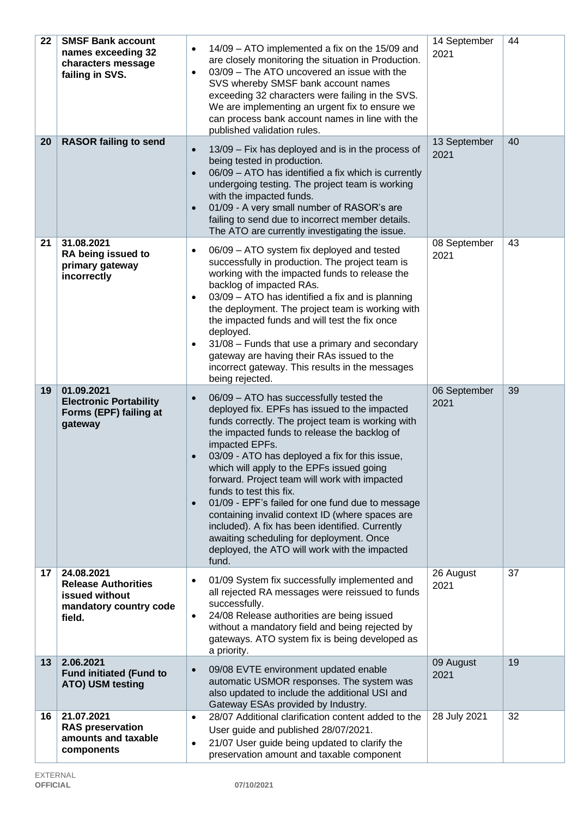| 22 | <b>SMSF Bank account</b><br>names exceeding 32<br>characters message<br>failing in SVS.        | 14/09 - ATO implemented a fix on the 15/09 and<br>$\bullet$<br>are closely monitoring the situation in Production.<br>03/09 - The ATO uncovered an issue with the<br>$\bullet$<br>SVS whereby SMSF bank account names<br>exceeding 32 characters were failing in the SVS.<br>We are implementing an urgent fix to ensure we<br>can process bank account names in line with the<br>published validation rules.                                                                                                                                                                                                                                                                                     | 14 September<br>2021 | 44 |
|----|------------------------------------------------------------------------------------------------|---------------------------------------------------------------------------------------------------------------------------------------------------------------------------------------------------------------------------------------------------------------------------------------------------------------------------------------------------------------------------------------------------------------------------------------------------------------------------------------------------------------------------------------------------------------------------------------------------------------------------------------------------------------------------------------------------|----------------------|----|
| 20 | <b>RASOR failing to send</b>                                                                   | 13/09 - Fix has deployed and is in the process of<br>$\bullet$<br>being tested in production.<br>06/09 - ATO has identified a fix which is currently<br>$\bullet$<br>undergoing testing. The project team is working<br>with the impacted funds.<br>01/09 - A very small number of RASOR's are<br>$\bullet$<br>failing to send due to incorrect member details.<br>The ATO are currently investigating the issue.                                                                                                                                                                                                                                                                                 | 13 September<br>2021 | 40 |
| 21 | 31.08.2021<br>RA being issued to<br>primary gateway<br>incorrectly                             | 06/09 - ATO system fix deployed and tested<br>$\bullet$<br>successfully in production. The project team is<br>working with the impacted funds to release the<br>backlog of impacted RAs.<br>03/09 - ATO has identified a fix and is planning<br>$\bullet$<br>the deployment. The project team is working with<br>the impacted funds and will test the fix once<br>deployed.<br>31/08 - Funds that use a primary and secondary<br>$\bullet$<br>gateway are having their RAs issued to the<br>incorrect gateway. This results in the messages<br>being rejected.                                                                                                                                    | 08 September<br>2021 | 43 |
| 19 | 01.09.2021<br><b>Electronic Portability</b><br>Forms (EPF) failing at<br>gateway               | 06/09 - ATO has successfully tested the<br>$\bullet$<br>deployed fix. EPFs has issued to the impacted<br>funds correctly. The project team is working with<br>the impacted funds to release the backlog of<br>impacted EPFs.<br>03/09 - ATO has deployed a fix for this issue,<br>$\bullet$<br>which will apply to the EPFs issued going<br>forward. Project team will work with impacted<br>funds to test this fix.<br>01/09 - EPF's failed for one fund due to message<br>$\bullet$<br>containing invalid context ID (where spaces are<br>included). A fix has been identified. Currently<br>awaiting scheduling for deployment. Once<br>deployed, the ATO will work with the impacted<br>fund. | 06 September<br>2021 | 39 |
| 17 | 24.08.2021<br><b>Release Authorities</b><br>issued without<br>mandatory country code<br>field. | 01/09 System fix successfully implemented and<br>$\bullet$<br>all rejected RA messages were reissued to funds<br>successfully.<br>24/08 Release authorities are being issued<br>$\bullet$<br>without a mandatory field and being rejected by<br>gateways. ATO system fix is being developed as<br>a priority.                                                                                                                                                                                                                                                                                                                                                                                     | 26 August<br>2021    | 37 |
| 13 | 2.06.2021<br><b>Fund initiated (Fund to</b><br>ATO) USM testing                                | 09/08 EVTE environment updated enable<br>$\bullet$<br>automatic USMOR responses. The system was<br>also updated to include the additional USI and<br>Gateway ESAs provided by Industry.                                                                                                                                                                                                                                                                                                                                                                                                                                                                                                           | 09 August<br>2021    | 19 |
| 16 | 21.07.2021<br><b>RAS preservation</b><br>amounts and taxable<br>components                     | 28/07 Additional clarification content added to the<br>$\bullet$<br>User guide and published 28/07/2021.<br>21/07 User guide being updated to clarify the<br>$\bullet$<br>preservation amount and taxable component                                                                                                                                                                                                                                                                                                                                                                                                                                                                               | 28 July 2021         | 32 |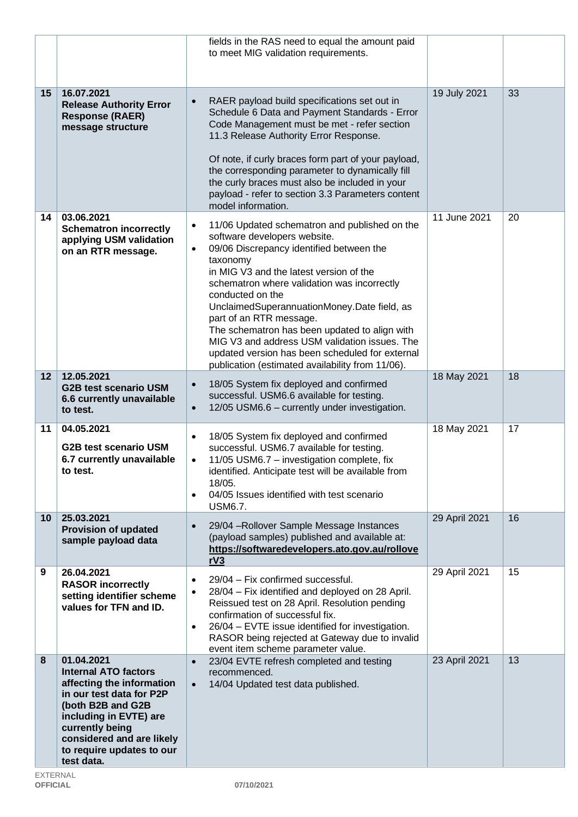|        |                                                                                                                                                                                                                                              | fields in the RAS need to equal the amount paid<br>to meet MIG validation requirements.                                                                                                                                                                                                                                                                                                                                                                                                                                                                          |               |    |
|--------|----------------------------------------------------------------------------------------------------------------------------------------------------------------------------------------------------------------------------------------------|------------------------------------------------------------------------------------------------------------------------------------------------------------------------------------------------------------------------------------------------------------------------------------------------------------------------------------------------------------------------------------------------------------------------------------------------------------------------------------------------------------------------------------------------------------------|---------------|----|
| $15\,$ | 16.07.2021<br><b>Release Authority Error</b><br><b>Response (RAER)</b><br>message structure                                                                                                                                                  | RAER payload build specifications set out in<br>$\bullet$<br>Schedule 6 Data and Payment Standards - Error<br>Code Management must be met - refer section<br>11.3 Release Authority Error Response.<br>Of note, if curly braces form part of your payload,<br>the corresponding parameter to dynamically fill<br>the curly braces must also be included in your<br>payload - refer to section 3.3 Parameters content<br>model information.                                                                                                                       | 19 July 2021  | 33 |
| 14     | 03.06.2021<br><b>Schematron incorrectly</b><br>applying USM validation<br>on an RTR message.                                                                                                                                                 | 11/06 Updated schematron and published on the<br>$\bullet$<br>software developers website.<br>09/06 Discrepancy identified between the<br>$\bullet$<br>taxonomy<br>in MIG V3 and the latest version of the<br>schematron where validation was incorrectly<br>conducted on the<br>UnclaimedSuperannuationMoney.Date field, as<br>part of an RTR message.<br>The schematron has been updated to align with<br>MIG V3 and address USM validation issues. The<br>updated version has been scheduled for external<br>publication (estimated availability from 11/06). | 11 June 2021  | 20 |
| 12     | 12.05.2021<br><b>G2B test scenario USM</b><br>6.6 currently unavailable<br>to test.                                                                                                                                                          | 18/05 System fix deployed and confirmed<br>$\bullet$<br>successful. USM6.6 available for testing.<br>12/05 USM6.6 - currently under investigation.<br>$\bullet$                                                                                                                                                                                                                                                                                                                                                                                                  | 18 May 2021   | 18 |
| 11     | 04.05.2021<br><b>G2B test scenario USM</b><br>6.7 currently unavailable<br>to test.                                                                                                                                                          | 18/05 System fix deployed and confirmed<br>$\bullet$<br>successful. USM6.7 available for testing.<br>11/05 USM6.7 - investigation complete, fix<br>$\bullet$<br>identified. Anticipate test will be available from<br>18/05.<br>04/05 Issues identified with test scenario<br>$\bullet$<br><b>USM6.7.</b>                                                                                                                                                                                                                                                        | 18 May 2021   | 17 |
| 10     | 25.03.2021<br><b>Provision of updated</b><br>sample payload data                                                                                                                                                                             | 29/04 - Rollover Sample Message Instances<br>$\bullet$<br>(payload samples) published and available at:<br>https://softwaredevelopers.ato.gov.au/rollove<br>rV3                                                                                                                                                                                                                                                                                                                                                                                                  | 29 April 2021 | 16 |
| 9      | 26.04.2021<br><b>RASOR incorrectly</b><br>setting identifier scheme<br>values for TFN and ID.                                                                                                                                                | 29/04 - Fix confirmed successful.<br>$\bullet$<br>28/04 - Fix identified and deployed on 28 April.<br>$\bullet$<br>Reissued test on 28 April. Resolution pending<br>confirmation of successful fix.<br>26/04 - EVTE issue identified for investigation.<br>$\bullet$<br>RASOR being rejected at Gateway due to invalid<br>event item scheme parameter value.                                                                                                                                                                                                     | 29 April 2021 | 15 |
| 8      | 01.04.2021<br><b>Internal ATO factors</b><br>affecting the information<br>in our test data for P2P<br>(both B2B and G2B<br>including in EVTE) are<br>currently being<br>considered and are likely<br>to require updates to our<br>test data. | 23/04 EVTE refresh completed and testing<br>$\bullet$<br>recommenced.<br>14/04 Updated test data published.<br>$\bullet$                                                                                                                                                                                                                                                                                                                                                                                                                                         | 23 April 2021 | 13 |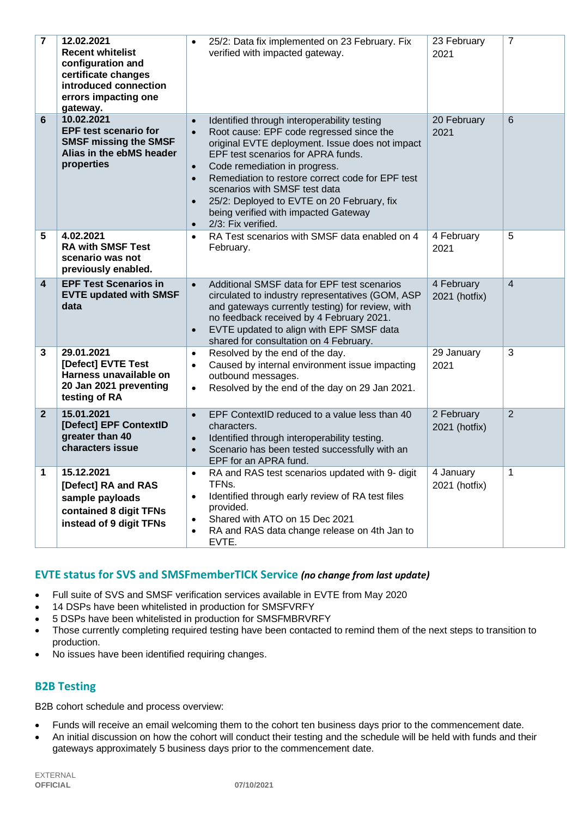| $\overline{7}$          | 12.02.2021<br><b>Recent whitelist</b><br>configuration and<br>certificate changes<br>introduced connection<br>errors impacting one<br>gateway. | 25/2: Data fix implemented on 23 February. Fix<br>verified with impacted gateway.                                                                                                                                                                                                                                                                               |                                                  | 23 February<br>2021         | $\overline{7}$ |
|-------------------------|------------------------------------------------------------------------------------------------------------------------------------------------|-----------------------------------------------------------------------------------------------------------------------------------------------------------------------------------------------------------------------------------------------------------------------------------------------------------------------------------------------------------------|--------------------------------------------------|-----------------------------|----------------|
| 6                       | 10.02.2021<br><b>EPF test scenario for</b><br><b>SMSF missing the SMSF</b><br>Alias in the ebMS header<br>properties                           | Identified through interoperability testing<br>Root cause: EPF code regressed since the<br>EPF test scenarios for APRA funds.<br>Code remediation in progress.<br>Remediation to restore correct code for EPF test<br>scenarios with SMSF test data<br>25/2: Deployed to EVTE on 20 February, fix<br>being verified with impacted Gateway<br>2/3: Fix verified. | original EVTE deployment. Issue does not impact  | 20 February<br>2021         | 6              |
| 5                       | 4.02.2021<br><b>RA with SMSF Test</b><br>scenario was not<br>previously enabled.                                                               | RA Test scenarios with SMSF data enabled on 4<br>February.                                                                                                                                                                                                                                                                                                      |                                                  | 4 February<br>2021          | 5              |
| $\overline{\mathbf{4}}$ | <b>EPF Test Scenarios in</b><br><b>EVTE updated with SMSF</b><br>data                                                                          | Additional SMSF data for EPF test scenarios<br>and gateways currently testing) for review, with<br>no feedback received by 4 February 2021.<br>EVTE updated to align with EPF SMSF data<br>shared for consultation on 4 February.                                                                                                                               | circulated to industry representatives (GOM, ASP | 4 February<br>2021 (hotfix) | $\overline{4}$ |
| 3                       | 29.01.2021<br>[Defect] EVTE Test<br>Harness unavailable on<br>20 Jan 2021 preventing<br>testing of RA                                          | Resolved by the end of the day.<br>Caused by internal environment issue impacting<br>outbound messages.<br>Resolved by the end of the day on 29 Jan 2021.                                                                                                                                                                                                       |                                                  | 29 January<br>2021          | 3              |
| $\mathbf{2}$            | 15.01.2021<br>[Defect] EPF ContextID<br>greater than 40<br>characters issue                                                                    | EPF ContextID reduced to a value less than 40<br>characters.<br>Identified through interoperability testing.<br>Scenario has been tested successfully with an<br>EPF for an APRA fund.                                                                                                                                                                          |                                                  | 2 February<br>2021 (hotfix) | $\overline{2}$ |
| 1                       | 15.12.2021<br>[Defect] RA and RAS<br>sample payloads<br>contained 8 digit TFNs<br>instead of 9 digit TFNs                                      | RA and RAS test scenarios updated with 9- digit<br>TFNs.<br>Identified through early review of RA test files<br>provided.<br>Shared with ATO on 15 Dec 2021<br>RA and RAS data change release on 4th Jan to<br>EVTE.                                                                                                                                            |                                                  | 4 January<br>2021 (hotfix)  | 1              |

# **EVTE status for SVS and SMSFmemberTICK Service** *(no change from last update)*

- Full suite of SVS and SMSF verification services available in EVTE from May 2020
- 14 DSPs have been whitelisted in production for SMSFVRFY
- 5 DSPs have been whitelisted in production for SMSFMBRVRFY
- Those currently completing required testing have been contacted to remind them of the next steps to transition to production.
- No issues have been identified requiring changes.

## **B2B Testing**

B2B cohort schedule and process overview:

- Funds will receive an email welcoming them to the cohort ten business days prior to the commencement date.
- An initial discussion on how the cohort will conduct their testing and the schedule will be held with funds and their gateways approximately 5 business days prior to the commencement date.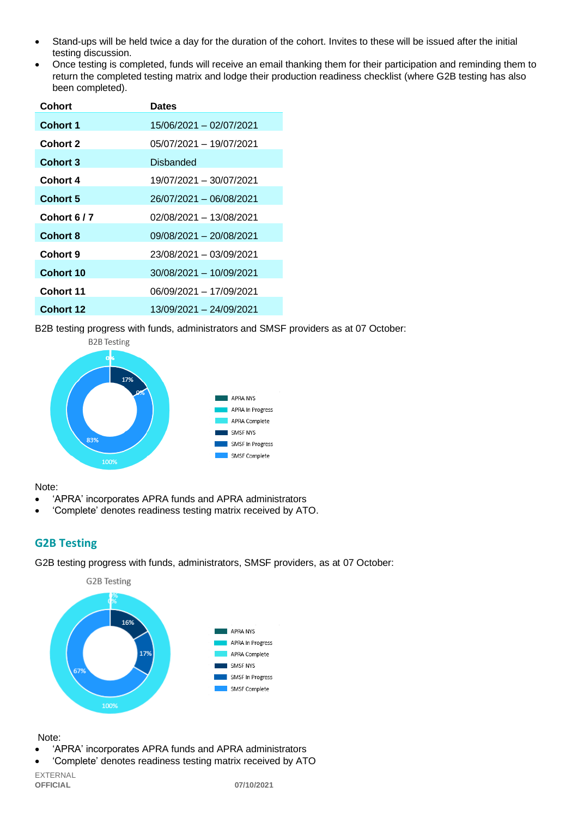- Stand-ups will be held twice a day for the duration of the cohort. Invites to these will be issued after the initial testing discussion.
- Once testing is completed, funds will receive an email thanking them for their participation and reminding them to return the completed testing matrix and lodge their production readiness checklist (where G2B testing has also been completed).

| <b>Cohort</b>    | <b>Dates</b>            |  |
|------------------|-------------------------|--|
| <b>Cohort 1</b>  | 15/06/2021 - 02/07/2021 |  |
| Cohort 2         | 05/07/2021 - 19/07/2021 |  |
| Cohort 3         | Disbanded               |  |
| Cohort 4         | 19/07/2021 - 30/07/2021 |  |
| <b>Cohort 5</b>  | 26/07/2021 - 06/08/2021 |  |
| Cohort 6/7       | 02/08/2021 - 13/08/2021 |  |
| Cohort 8         | 09/08/2021 - 20/08/2021 |  |
| Cohort 9         | 23/08/2021 - 03/09/2021 |  |
| <b>Cohort 10</b> | 30/08/2021 - 10/09/2021 |  |
| Cohort 11        | 06/09/2021 - 17/09/2021 |  |
| <b>Cohort 12</b> | 13/09/2021 - 24/09/2021 |  |

B2B testing progress with funds, administrators and SMSF providers as at 07 October:



#### Note:

- 'APRA' incorporates APRA funds and APRA administrators
- 'Complete' denotes readiness testing matrix received by ATO.

## **G2B Testing**

G2B testing progress with funds, administrators, SMSF providers, as at 07 October:



#### Note:

- 'APRA' incorporates APRA funds and APRA administrators
- 'Complete' denotes readiness testing matrix received by ATO

EXTERNAL **OFFICIAL 07/10/2021**